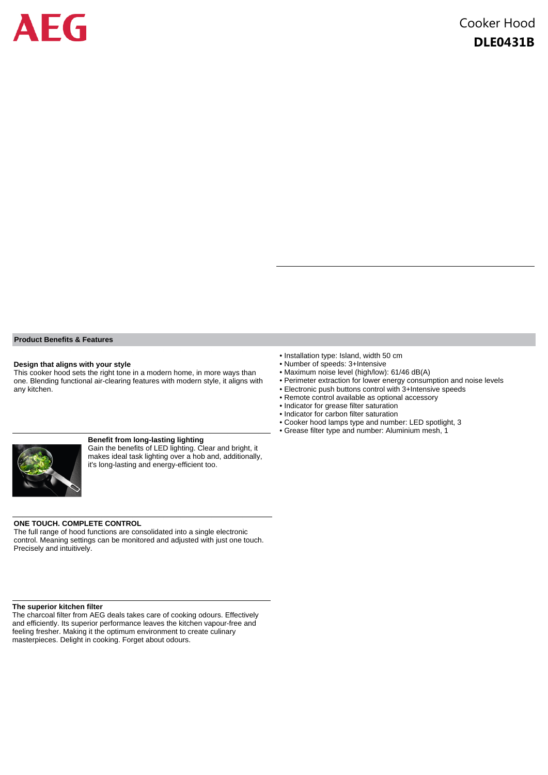

#### **Product Benefits & Features**

#### **Design that aligns with your style**

This cooker hood sets the right tone in a modern home, in more ways than one. Blending functional air-clearing features with modern style, it aligns with any kitchen.

#### **Benefit from long-lasting lighting**

Gain the benefits of LED lighting. Clear and bright, it makes ideal task lighting over a hob and, additionally, it's long-lasting and energy-efficient too.

#### **ONE TOUCH. COMPLETE CONTROL**

The full range of hood functions are consolidated into a single electronic control. Meaning settings can be monitored and adjusted with just one touch. Precisely and intuitively.

#### **The superior kitchen filter**

The charcoal filter from AEG deals takes care of cooking odours. Effectively and efficiently. Its superior performance leaves the kitchen vapour-free and feeling fresher. Making it the optimum environment to create culinary masterpieces. Delight in cooking. Forget about odours.

- Installation type: Island, width 50 cm
- Number of speeds: 3+Intensive
- Maximum noise level (high/low): 61/46 dB(A)
- Perimeter extraction for lower energy consumption and noise levels • Electronic push buttons control with 3+Intensive speeds
- 
- Remote control available as optional accessory
- Indicator for grease filter saturation • Indicator for carbon filter saturation
- 
- Cooker hood lamps type and number: LED spotlight, 3
- Grease filter type and number: Aluminium mesh, 1